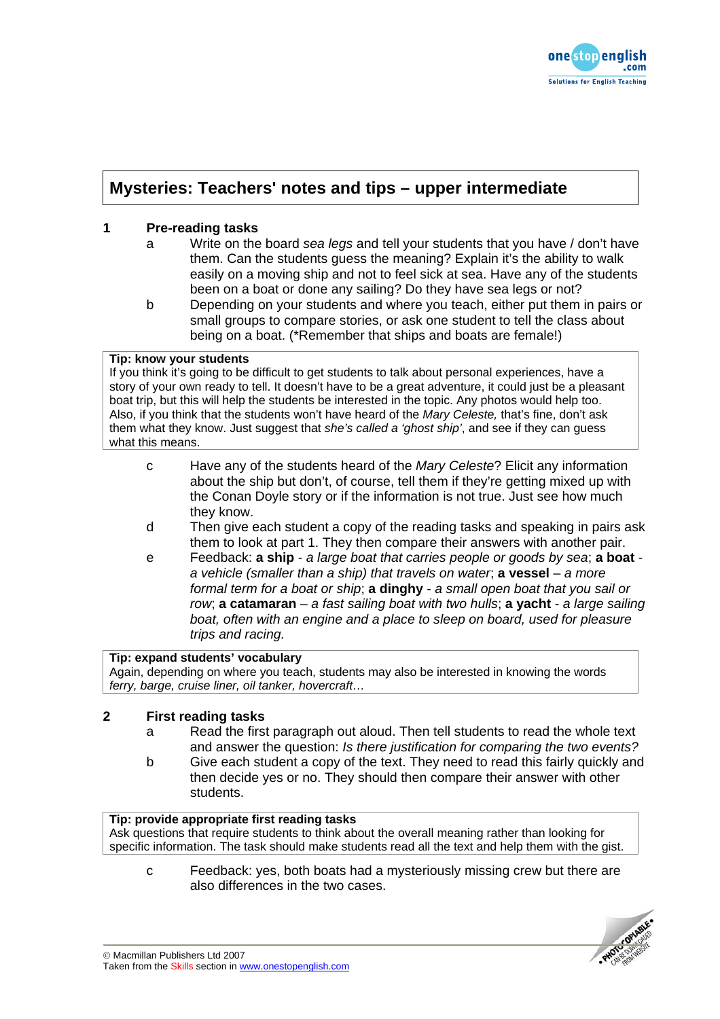

# **Mysteries: Teachers' notes and tips – upper intermediate**

# **1 Pre-reading tasks**

- a Write on the board *sea legs* and tell your students that you have / don't have them. Can the students guess the meaning? Explain it's the ability to walk easily on a moving ship and not to feel sick at sea. Have any of the students been on a boat or done any sailing? Do they have sea legs or not?
- b Depending on your students and where you teach, either put them in pairs or small groups to compare stories, or ask one student to tell the class about being on a boat. (\*Remember that ships and boats are female!)

### **Tip: know your students**

If you think it's going to be difficult to get students to talk about personal experiences, have a story of your own ready to tell. It doesn't have to be a great adventure, it could just be a pleasant boat trip, but this will help the students be interested in the topic. Any photos would help too. Also, if you think that the students won't have heard of the *Mary Celeste,* that's fine, don't ask them what they know. Just suggest that *she's called a 'ghost ship'*, and see if they can guess what this means.

- c Have any of the students heard of the *Mary Celeste*? Elicit any information about the ship but don't, of course, tell them if they're getting mixed up with the Conan Doyle story or if the information is not true. Just see how much they know.
- d Then give each student a copy of the reading tasks and speaking in pairs ask them to look at part 1. They then compare their answers with another pair.
- e Feedback: **a ship** *a large boat that carries people or goods by sea*; **a boat** *a vehicle (smaller than a ship) that travels on water*; **a vessel** – *a more formal term for a boat or ship*; **a dinghy** - *a small open boat that you sail or row*; **a catamaran** – *a fast sailing boat with two hulls*; **a yacht** - *a large sailing boat, often with an engine and a place to sleep on board, used for pleasure trips and racing.*

# **Tip: expand students' vocabulary**

Again, depending on where you teach, students may also be interested in knowing the words *ferry, barge, cruise liner, oil tanker, hovercraft…*

## **2 First reading tasks**

- a Read the first paragraph out aloud. Then tell students to read the whole text and answer the question: *Is there justification for comparing the two events?*
- b Give each student a copy of the text. They need to read this fairly quickly and then decide yes or no. They should then compare their answer with other students.

### **Tip: provide appropriate first reading tasks**

Ask questions that require students to think about the overall meaning rather than looking for specific information. The task should make students read all the text and help them with the gist.

c Feedback: yes, both boats had a mysteriously missing crew but there are also differences in the two cases.